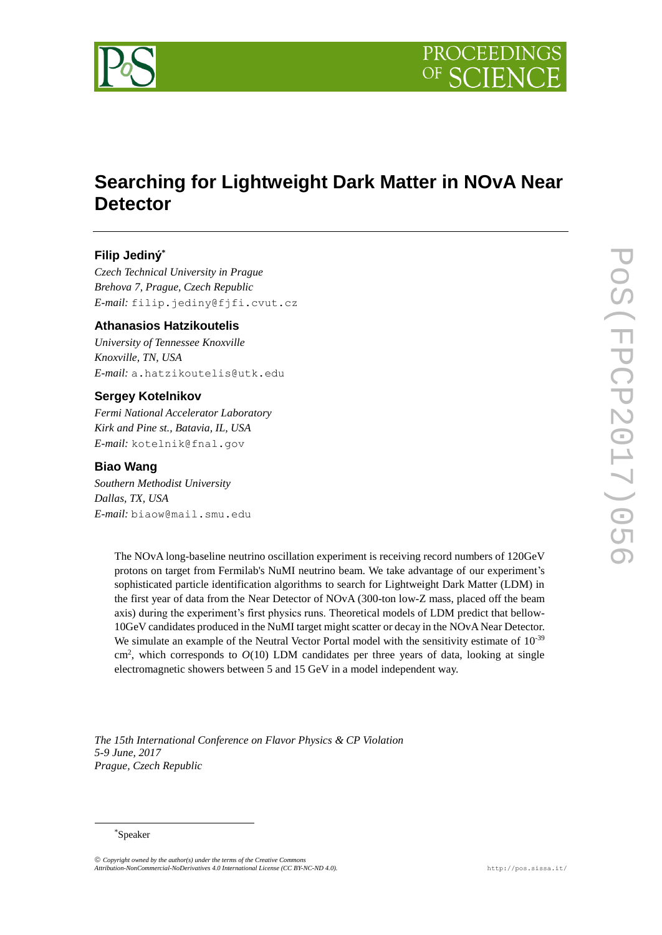

# **Searching for Lightweight Dark Matter in NOvA Near Detector**

## **Filip Jediný \***

*Czech Technical University in Prague Brehova 7, Prague, Czech Republic E-mail:* filip.jediny@fjfi.cvut.cz

### **Athanasios Hatzikoutelis**

*University of Tennessee Knoxville Knoxville, TN, USA E-mail:* a.hatzikoutelis@utk.edu

### **Sergey Kotelnikov**

*Fermi National Accelerator Laboratory Kirk and Pine st., Batavia, IL, USA E-mail:* kotelnik@fnal.gov

### **Biao Wang**

*Southern Methodist University Dallas, TX, USA E-mail:* biaow@mail.smu.edu

> The NOvA long-baseline neutrino oscillation experiment is receiving record numbers of 120GeV protons on target from Fermilab's NuMI neutrino beam. We take advantage of our experiment's sophisticated particle identification algorithms to search for Lightweight Dark Matter (LDM) in the first year of data from the Near Detector of NOvA (300-ton low-Z mass, placed off the beam axis) during the experiment's first physics runs. Theoretical models of LDM predict that bellow-10GeV candidates produced in the NuMI target might scatter or decay in the NOvA Near Detector. We simulate an example of the Neutral Vector Portal model with the sensitivity estimate of  $10^{-39}$  $\text{cm}^2$ , which corresponds to  $O(10)$  LDM candidates per three years of data, looking at single electromagnetic showers between 5 and 15 GeV in a model independent way.

*The 15th International Conference on Flavor Physics & CP Violation 5-9 June, 2017 Prague, Czech Republic*

### \*Speaker

-

 $\odot$  Copyright owned by the author(s) under the terms of the Creative Con *Attribution-NonCommercial-NoDerivatives 4.0 International License (CC BY-NC-ND 4.0).* <http://pos.sissa.it/>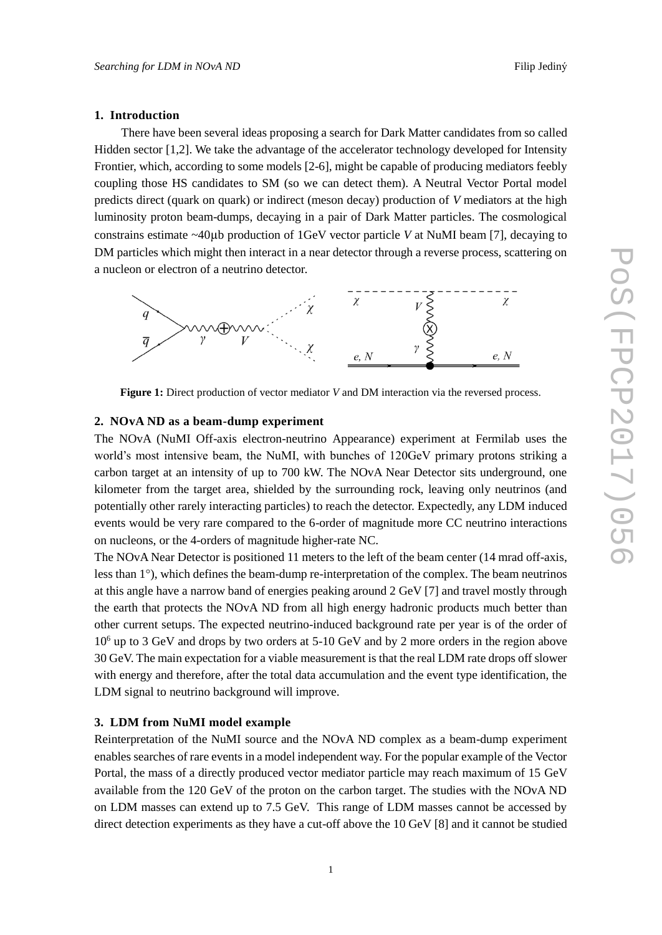### **1. Introduction**

There have been several ideas proposing a search for Dark Matter candidates from so called Hidden sector [1,2]. We take the advantage of the accelerator technology developed for Intensity Frontier, which, according to some models [2-6], might be capable of producing mediators feebly coupling those HS candidates to SM (so we can detect them). A Neutral Vector Portal model predicts direct (quark on quark) or indirect (meson decay) production of *V* mediators at the high luminosity proton beam-dumps, decaying in a pair of Dark Matter particles. The cosmological constrains estimate ~40µb production of 1GeV vector particle *V* at NuMI beam [7], decaying to DM particles which might then interact in a near detector through a reverse process, scattering on a nucleon or electron of a neutrino detector.



**Figure 1:** Direct production of vector mediator *V* and DM interaction via the reversed process.

### **2. NOvA ND as a beam-dump experiment**

The NOvA (NuMI Off-axis electron-neutrino Appearance) experiment at Fermilab uses the world's most intensive beam, the NuMI, with bunches of 120GeV primary protons striking a carbon target at an intensity of up to 700 kW. The NOvA Near Detector sits underground, one kilometer from the target area, shielded by the surrounding rock, leaving only neutrinos (and potentially other rarely interacting particles) to reach the detector. Expectedly, any LDM induced events would be very rare compared to the 6-order of magnitude more CC neutrino interactions on nucleons, or the 4-orders of magnitude higher-rate NC.

The NOvA Near Detector is positioned 11 meters to the left of the beam center (14 mrad off-axis, less than 1°), which defines the beam-dump re-interpretation of the complex. The beam neutrinos at this angle have a narrow band of energies peaking around 2 GeV [7] and travel mostly through the earth that protects the NOvA ND from all high energy hadronic products much better than other current setups. The expected neutrino-induced background rate per year is of the order of  $10<sup>6</sup>$  up to 3 GeV and drops by two orders at 5-10 GeV and by 2 more orders in the region above 30 GeV. The main expectation for a viable measurement is that the real LDM rate drops off slower with energy and therefore, after the total data accumulation and the event type identification, the LDM signal to neutrino background will improve.

### **3. LDM from NuMI model example**

Reinterpretation of the NuMI source and the NOvA ND complex as a beam-dump experiment enables searches of rare events in a model independent way. For the popular example of the Vector Portal, the mass of a directly produced vector mediator particle may reach maximum of 15 GeV available from the 120 GeV of the proton on the carbon target. The studies with the NOvA ND on LDM masses can extend up to 7.5 GeV. This range of LDM masses cannot be accessed by direct detection experiments as they have a cut-off above the 10 GeV [8] and it cannot be studied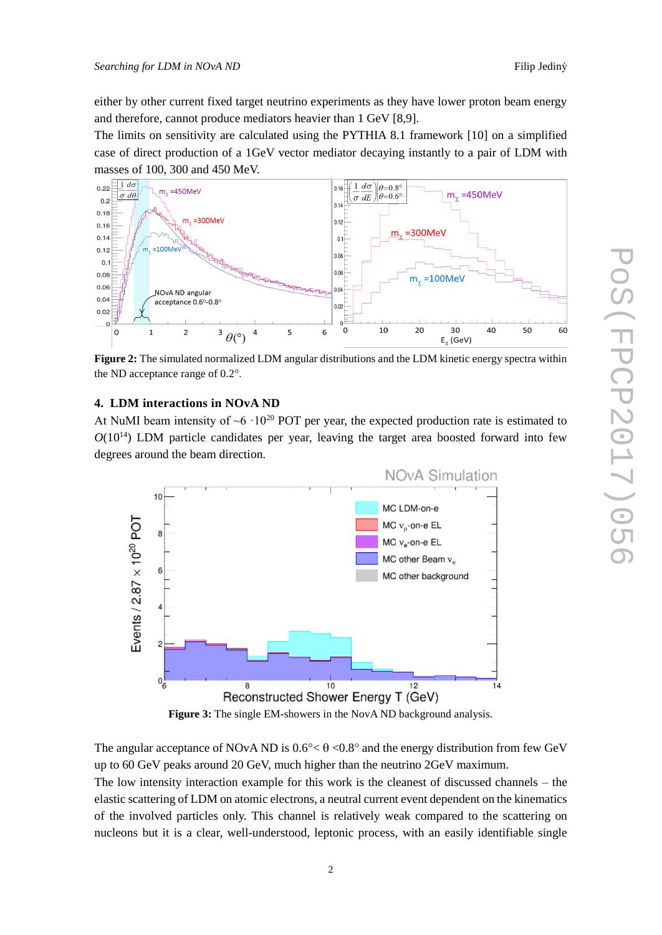either by other current fixed target neutrino experiments as they have lower proton beam energy and therefore, cannot produce mediators heavier than 1 GeV [8,9].

The limits on sensitivity are calculated using the PYTHIA 8.1 framework [10] on a simplified case of direct production of a 1GeV vector mediator decaying instantly to a pair of LDM with masses of 100, 300 and 450 MeV.



**Figure 2:** The simulated normalized LDM angular distributions and the LDM kinetic energy spectra within the ND acceptance range of 0.2°.

### **4. LDM interactions in NOvA ND**

At NuMI beam intensity of  $\sim 6 \cdot 10^{20}$  POT per year, the expected production rate is estimated to  $O(10^{14})$  LDM particle candidates per year, leaving the target area boosted forward into few degrees around the beam direction.



**Figure 3:** The single EM-showers in the NovA ND background analysis.

The angular acceptance of NOvA ND is  $0.6^{\circ} < \theta < 0.8^{\circ}$  and the energy distribution from few GeV up to 60 GeV peaks around 20 GeV, much higher than the neutrino 2GeV maximum. The low intensity interaction example for this work is the cleanest of discussed channels – the elastic scattering of LDM on atomic electrons, a neutral current event dependent on the kinematics of the involved particles only. This channel is relatively weak compared to the scattering on nucleons but it is a clear, well-understood, leptonic process, with an easily identifiable single